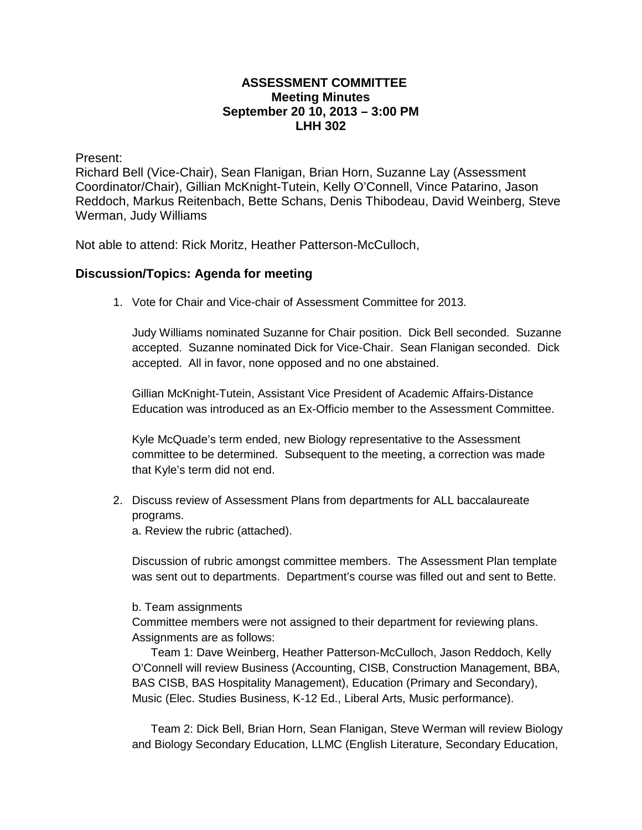## **ASSESSMENT COMMITTEE Meeting Minutes September 20 10, 2013 – 3:00 PM LHH 302**

Present:

Richard Bell (Vice-Chair), Sean Flanigan, Brian Horn, Suzanne Lay (Assessment Coordinator/Chair), Gillian McKnight-Tutein, Kelly O'Connell, Vince Patarino, Jason Reddoch, Markus Reitenbach, Bette Schans, Denis Thibodeau, David Weinberg, Steve Werman, Judy Williams

Not able to attend: Rick Moritz, Heather Patterson-McCulloch,

## **Discussion/Topics: Agenda for meeting**

1. Vote for Chair and Vice-chair of Assessment Committee for 2013.

Judy Williams nominated Suzanne for Chair position. Dick Bell seconded. Suzanne accepted. Suzanne nominated Dick for Vice-Chair. Sean Flanigan seconded. Dick accepted. All in favor, none opposed and no one abstained.

Gillian McKnight-Tutein, Assistant Vice President of Academic Affairs-Distance Education was introduced as an Ex-Officio member to the Assessment Committee.

Kyle McQuade's term ended, new Biology representative to the Assessment committee to be determined. Subsequent to the meeting, a correction was made that Kyle's term did not end.

2. Discuss review of Assessment Plans from departments for ALL baccalaureate programs.

a. Review the rubric (attached).

Discussion of rubric amongst committee members. The Assessment Plan template was sent out to departments. Department's course was filled out and sent to Bette.

## b. Team assignments

Committee members were not assigned to their department for reviewing plans. Assignments are as follows:

Team 1: Dave Weinberg, Heather Patterson-McCulloch, Jason Reddoch, Kelly O'Connell will review Business (Accounting, CISB, Construction Management, BBA, BAS CISB, BAS Hospitality Management), Education (Primary and Secondary), Music (Elec. Studies Business, K-12 Ed., Liberal Arts, Music performance).

Team 2: Dick Bell, Brian Horn, Sean Flanigan, Steve Werman will review Biology and Biology Secondary Education, LLMC (English Literature, Secondary Education,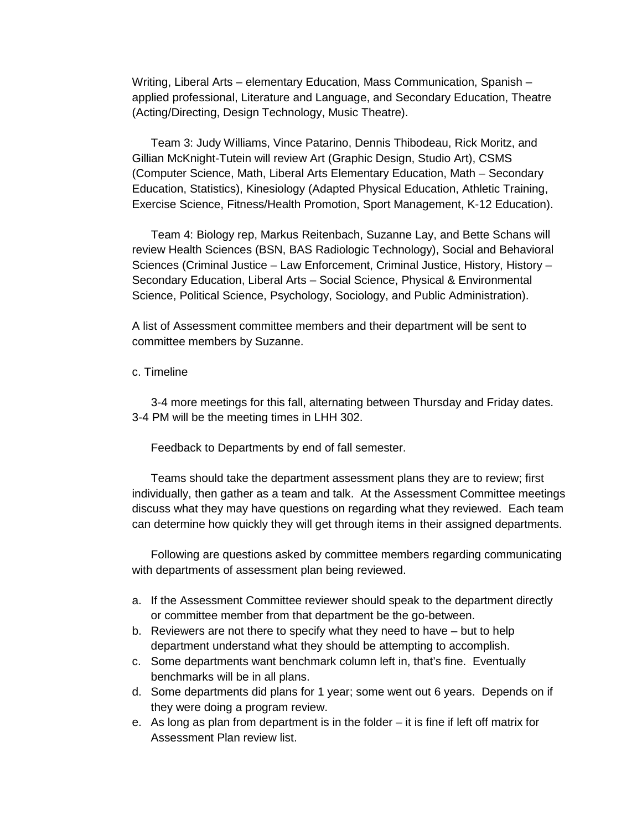Writing, Liberal Arts – elementary Education, Mass Communication, Spanish – applied professional, Literature and Language, and Secondary Education, Theatre (Acting/Directing, Design Technology, Music Theatre).

Team 3: Judy Williams, Vince Patarino, Dennis Thibodeau, Rick Moritz, and Gillian McKnight-Tutein will review Art (Graphic Design, Studio Art), CSMS (Computer Science, Math, Liberal Arts Elementary Education, Math – Secondary Education, Statistics), Kinesiology (Adapted Physical Education, Athletic Training, Exercise Science, Fitness/Health Promotion, Sport Management, K-12 Education).

Team 4: Biology rep, Markus Reitenbach, Suzanne Lay, and Bette Schans will review Health Sciences (BSN, BAS Radiologic Technology), Social and Behavioral Sciences (Criminal Justice – Law Enforcement, Criminal Justice, History, History – Secondary Education, Liberal Arts – Social Science, Physical & Environmental Science, Political Science, Psychology, Sociology, and Public Administration).

A list of Assessment committee members and their department will be sent to committee members by Suzanne.

## c. Timeline

3-4 more meetings for this fall, alternating between Thursday and Friday dates. 3-4 PM will be the meeting times in LHH 302.

Feedback to Departments by end of fall semester.

Teams should take the department assessment plans they are to review; first individually, then gather as a team and talk. At the Assessment Committee meetings discuss what they may have questions on regarding what they reviewed. Each team can determine how quickly they will get through items in their assigned departments.

Following are questions asked by committee members regarding communicating with departments of assessment plan being reviewed.

- a. If the Assessment Committee reviewer should speak to the department directly or committee member from that department be the go-between.
- b. Reviewers are not there to specify what they need to have but to help department understand what they should be attempting to accomplish.
- c. Some departments want benchmark column left in, that's fine. Eventually benchmarks will be in all plans.
- d. Some departments did plans for 1 year; some went out 6 years. Depends on if they were doing a program review.
- e. As long as plan from department is in the folder it is fine if left off matrix for Assessment Plan review list.